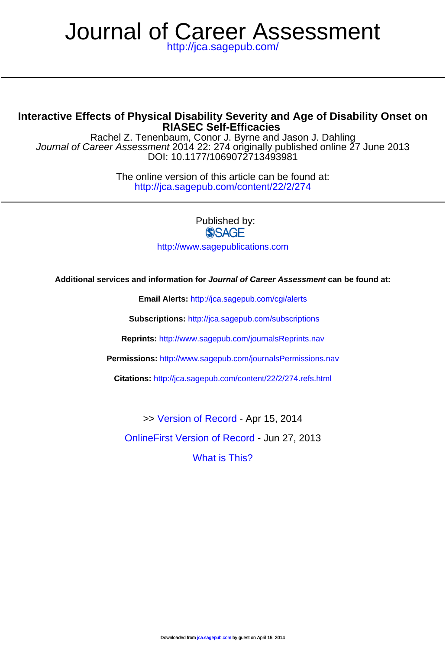# Journal of Career Assessment

<http://jca.sagepub.com/>

# **RIASEC Self-Efficacies Interactive Effects of Physical Disability Severity and Age of Disability Onset on**

DOI: 10.1177/1069072713493981 Journal of Career Assessment 2014 22: 274 originally published online 27 June 2013 Rachel Z. Tenenbaum, Conor J. Byrne and Jason J. Dahling

> <http://jca.sagepub.com/content/22/2/274> The onlin[e version of this arti](http://jca.sagepub.com/content/22/2/274.full.pdf)cle can be found at:

> > [Published by:](http://online.sagepub.com/site/sphelp/vorhelp.xhtml) **SSAGE** <http://www.sagepublications.com>

**Additional services and information for Journal of Career Assessment can be found at:**

**Email Alerts:** <http://jca.sagepub.com/cgi/alerts>

**Subscriptions:** <http://jca.sagepub.com/subscriptions>

**Reprints:** <http://www.sagepub.com/journalsReprints.nav>

**Permissions:** <http://www.sagepub.com/journalsPermissions.nav>

**Citations:** <http://jca.sagepub.com/content/22/2/274.refs.html>

>> [Version of Record -](http://jca.sagepub.com/content/22/2/274.full.pdf) Apr 15, 2014

[OnlineFirst Version of Record -](http://jca.sagepub.com/content/early/2013/06/18/1069072713493981.full.pdf) Jun 27, 2013

[What is This?](http://online.sagepub.com/site/sphelp/vorhelp.xhtml)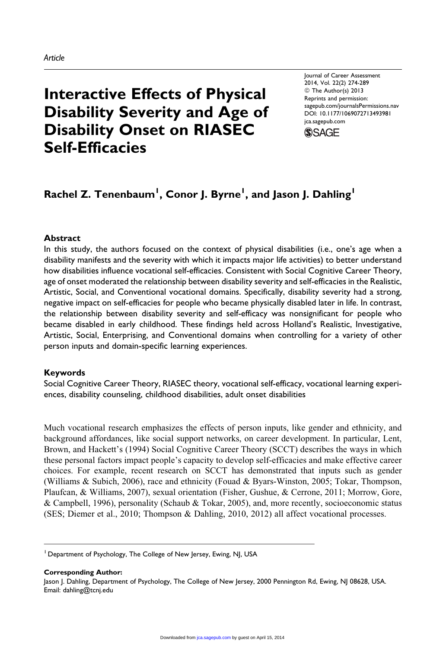# Interactive Effects of Physical Disability Severity and Age of Disability Onset on RIASEC Self-Efficacies

Journal of Career Assessment 2014, Vol. 22(2) 274-289 © The Author(s) 2013 Reprints and permission: [sagepub.com/journalsPermissions.nav](http://www.sagepub.com/journalsPermissions.nav) DOI: 10.1177/1069072713493981 [jca.sagepub.com](http://jca.sagepub.com)



# Rachel Z. Tenenbaum<sup>l</sup>, Conor J. Byrne<sup>l</sup>, and Jason J. Dahling<sup>l</sup>

#### Abstract

In this study, the authors focused on the context of physical disabilities (i.e., one's age when a disability manifests and the severity with which it impacts major life activities) to better understand how disabilities influence vocational self-efficacies. Consistent with Social Cognitive Career Theory, age of onset moderated the relationship between disability severity and self-efficacies in the Realistic, Artistic, Social, and Conventional vocational domains. Specifically, disability severity had a strong, negative impact on self-efficacies for people who became physically disabled later in life. In contrast, the relationship between disability severity and self-efficacy was nonsignificant for people who became disabled in early childhood. These findings held across Holland's Realistic, Investigative, Artistic, Social, Enterprising, and Conventional domains when controlling for a variety of other person inputs and domain-specific learning experiences.

#### Keywords

Social Cognitive Career Theory, RIASEC theory, vocational self-efficacy, vocational learning experiences, disability counseling, childhood disabilities, adult onset disabilities

Much vocational research emphasizes the effects of person inputs, like gender and ethnicity, and background affordances, like social support networks, on career development. In particular, Lent, Brown, and Hackett's (1994) Social Cognitive Career Theory (SCCT) describes the ways in which these personal factors impact people's capacity to develop self-efficacies and make effective career choices. For example, recent research on SCCT has demonstrated that inputs such as gender (Williams & Subich, 2006), race and ethnicity (Fouad & Byars-Winston, 2005; Tokar, Thompson, Plaufcan, & Williams, 2007), sexual orientation (Fisher, Gushue, & Cerrone, 2011; Morrow, Gore, & Campbell, 1996), personality (Schaub & Tokar, 2005), and, more recently, socioeconomic status (SES; Diemer et al., 2010; Thompson & Dahling, 2010, 2012) all affect vocational processes.

Corresponding Author:

<sup>&</sup>lt;sup>1</sup> Department of Psychology, The College of New Jersey, Ewing, NJ, USA

Jason J. Dahling, Department of Psychology, The College of New Jersey, 2000 Pennington Rd, Ewing, NJ 08628, USA. Email: dahling@tcnj.edu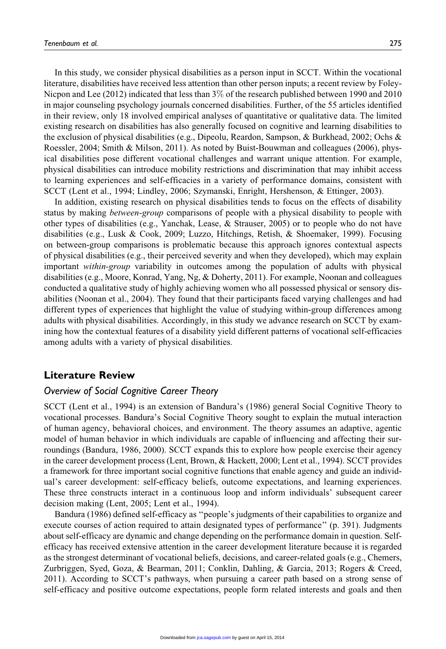In this study, we consider physical disabilities as a person input in SCCT. Within the vocational literature, disabilities have received less attention than other person inputs; a recent review by Foley-Nicpon and Lee (2012) indicated that less than 3% of the research published between 1990 and 2010 in major counseling psychology journals concerned disabilities. Further, of the 55 articles identified in their review, only 18 involved empirical analyses of quantitative or qualitative data. The limited existing research on disabilities has also generally focused on cognitive and learning disabilities to the exclusion of physical disabilities (e.g., Dipeolu, Reardon, Sampson, & Burkhead, 2002; Ochs & Roessler, 2004; Smith & Milson, 2011). As noted by Buist-Bouwman and colleagues (2006), physical disabilities pose different vocational challenges and warrant unique attention. For example, physical disabilities can introduce mobility restrictions and discrimination that may inhibit access to learning experiences and self-efficacies in a variety of performance domains, consistent with SCCT (Lent et al., 1994; Lindley, 2006; Szymanski, Enright, Hershenson, & Ettinger, 2003).

In addition, existing research on physical disabilities tends to focus on the effects of disability status by making *between-group* comparisons of people with a physical disability to people with other types of disabilities (e.g., Yanchak, Lease, & Strauser, 2005) or to people who do not have disabilities (e.g., Lusk & Cook, 2009; Luzzo, Hitchings, Retish, & Shoemaker, 1999). Focusing on between-group comparisons is problematic because this approach ignores contextual aspects of physical disabilities (e.g., their perceived severity and when they developed), which may explain important within-group variability in outcomes among the population of adults with physical disabilities (e.g., Moore, Konrad, Yang, Ng, & Doherty, 2011). For example, Noonan and colleagues conducted a qualitative study of highly achieving women who all possessed physical or sensory disabilities (Noonan et al., 2004). They found that their participants faced varying challenges and had different types of experiences that highlight the value of studying within-group differences among adults with physical disabilities. Accordingly, in this study we advance research on SCCT by examining how the contextual features of a disability yield different patterns of vocational self-efficacies among adults with a variety of physical disabilities.

#### Literature Review

#### Overview of Social Cognitive Career Theory

SCCT (Lent et al., 1994) is an extension of Bandura's (1986) general Social Cognitive Theory to vocational processes. Bandura's Social Cognitive Theory sought to explain the mutual interaction of human agency, behavioral choices, and environment. The theory assumes an adaptive, agentic model of human behavior in which individuals are capable of influencing and affecting their surroundings (Bandura, 1986, 2000). SCCT expands this to explore how people exercise their agency in the career development process (Lent, Brown, & Hackett, 2000; Lent et al., 1994). SCCT provides a framework for three important social cognitive functions that enable agency and guide an individual's career development: self-efficacy beliefs, outcome expectations, and learning experiences. These three constructs interact in a continuous loop and inform individuals' subsequent career decision making (Lent, 2005; Lent et al., 1994).

Bandura (1986) defined self-efficacy as ''people's judgments of their capabilities to organize and execute courses of action required to attain designated types of performance'' (p. 391). Judgments about self-efficacy are dynamic and change depending on the performance domain in question. Selfefficacy has received extensive attention in the career development literature because it is regarded as the strongest determinant of vocational beliefs, decisions, and career-related goals (e.g., Chemers, Zurbriggen, Syed, Goza, & Bearman, 2011; Conklin, Dahling, & Garcia, 2013; Rogers & Creed, 2011). According to SCCT's pathways, when pursuing a career path based on a strong sense of self-efficacy and positive outcome expectations, people form related interests and goals and then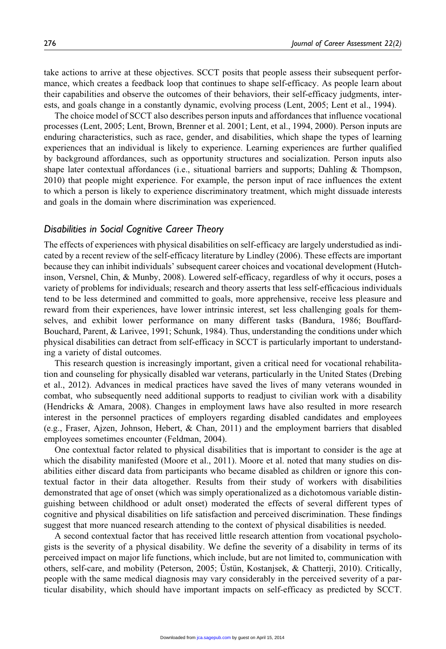take actions to arrive at these objectives. SCCT posits that people assess their subsequent performance, which creates a feedback loop that continues to shape self-efficacy. As people learn about their capabilities and observe the outcomes of their behaviors, their self-efficacy judgments, interests, and goals change in a constantly dynamic, evolving process (Lent, 2005; Lent et al., 1994).

The choice model of SCCT also describes person inputs and affordances that influence vocational processes (Lent, 2005; Lent, Brown, Brenner et al. 2001; Lent, et al., 1994, 2000). Person inputs are enduring characteristics, such as race, gender, and disabilities, which shape the types of learning experiences that an individual is likely to experience. Learning experiences are further qualified by background affordances, such as opportunity structures and socialization. Person inputs also shape later contextual affordances (i.e., situational barriers and supports; Dahling & Thompson, 2010) that people might experience. For example, the person input of race influences the extent to which a person is likely to experience discriminatory treatment, which might dissuade interests and goals in the domain where discrimination was experienced.

#### Disabilities in Social Cognitive Career Theory

The effects of experiences with physical disabilities on self-efficacy are largely understudied as indicated by a recent review of the self-efficacy literature by Lindley (2006). These effects are important because they can inhibit individuals' subsequent career choices and vocational development (Hutchinson, Versnel, Chin, & Munby, 2008). Lowered self-efficacy, regardless of why it occurs, poses a variety of problems for individuals; research and theory asserts that less self-efficacious individuals tend to be less determined and committed to goals, more apprehensive, receive less pleasure and reward from their experiences, have lower intrinsic interest, set less challenging goals for themselves, and exhibit lower performance on many different tasks (Bandura, 1986; Bouffard-Bouchard, Parent, & Larivee, 1991; Schunk, 1984). Thus, understanding the conditions under which physical disabilities can detract from self-efficacy in SCCT is particularly important to understanding a variety of distal outcomes.

This research question is increasingly important, given a critical need for vocational rehabilitation and counseling for physically disabled war veterans, particularly in the United States (Drebing et al., 2012). Advances in medical practices have saved the lives of many veterans wounded in combat, who subsequently need additional supports to readjust to civilian work with a disability (Hendricks & Amara, 2008). Changes in employment laws have also resulted in more research interest in the personnel practices of employers regarding disabled candidates and employees (e.g., Fraser, Ajzen, Johnson, Hebert, & Chan, 2011) and the employment barriers that disabled employees sometimes encounter (Feldman, 2004).

One contextual factor related to physical disabilities that is important to consider is the age at which the disability manifested (Moore et al., 2011). Moore et al. noted that many studies on disabilities either discard data from participants who became disabled as children or ignore this contextual factor in their data altogether. Results from their study of workers with disabilities demonstrated that age of onset (which was simply operationalized as a dichotomous variable distinguishing between childhood or adult onset) moderated the effects of several different types of cognitive and physical disabilities on life satisfaction and perceived discrimination. These findings suggest that more nuanced research attending to the context of physical disabilities is needed.

A second contextual factor that has received little research attention from vocational psychologists is the severity of a physical disability. We define the severity of a disability in terms of its perceived impact on major life functions, which include, but are not limited to, communication with others, self-care, and mobility (Peterson, 2005; Ustün, Kostanjsek, & Chatterji, 2010). Critically, people with the same medical diagnosis may vary considerably in the perceived severity of a particular disability, which should have important impacts on self-efficacy as predicted by SCCT.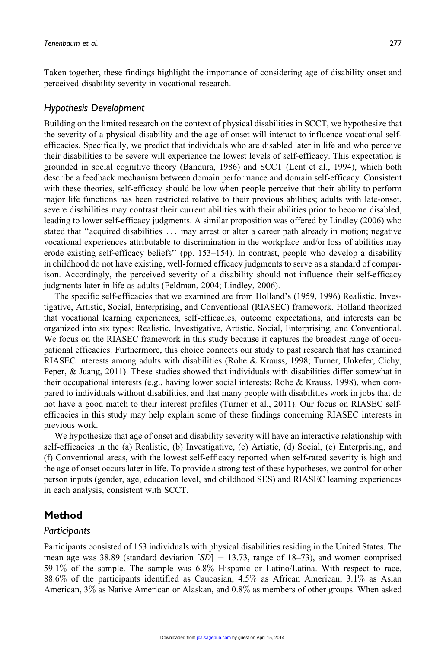Taken together, these findings highlight the importance of considering age of disability onset and perceived disability severity in vocational research.

#### Hypothesis Development

Building on the limited research on the context of physical disabilities in SCCT, we hypothesize that the severity of a physical disability and the age of onset will interact to influence vocational selfefficacies. Specifically, we predict that individuals who are disabled later in life and who perceive their disabilities to be severe will experience the lowest levels of self-efficacy. This expectation is grounded in social cognitive theory (Bandura, 1986) and SCCT (Lent et al., 1994), which both describe a feedback mechanism between domain performance and domain self-efficacy. Consistent with these theories, self-efficacy should be low when people perceive that their ability to perform major life functions has been restricted relative to their previous abilities; adults with late-onset, severe disabilities may contrast their current abilities with their abilities prior to become disabled, leading to lower self-efficacy judgments. A similar proposition was offered by Lindley (2006) who stated that "acquired disabilities ... may arrest or alter a career path already in motion; negative vocational experiences attributable to discrimination in the workplace and/or loss of abilities may erode existing self-efficacy beliefs'' (pp. 153–154). In contrast, people who develop a disability in childhood do not have existing, well-formed efficacy judgments to serve as a standard of comparison. Accordingly, the perceived severity of a disability should not influence their self-efficacy judgments later in life as adults (Feldman, 2004; Lindley, 2006).

The specific self-efficacies that we examined are from Holland's (1959, 1996) Realistic, Investigative, Artistic, Social, Enterprising, and Conventional (RIASEC) framework. Holland theorized that vocational learning experiences, self-efficacies, outcome expectations, and interests can be organized into six types: Realistic, Investigative, Artistic, Social, Enterprising, and Conventional. We focus on the RIASEC framework in this study because it captures the broadest range of occupational efficacies. Furthermore, this choice connects our study to past research that has examined RIASEC interests among adults with disabilities (Rohe & Krauss, 1998; Turner, Unkefer, Cichy, Peper, & Juang, 2011). These studies showed that individuals with disabilities differ somewhat in their occupational interests (e.g., having lower social interests; Rohe & Krauss, 1998), when compared to individuals without disabilities, and that many people with disabilities work in jobs that do not have a good match to their interest profiles (Turner et al., 2011). Our focus on RIASEC selfefficacies in this study may help explain some of these findings concerning RIASEC interests in previous work.

We hypothesize that age of onset and disability severity will have an interactive relationship with self-efficacies in the (a) Realistic, (b) Investigative, (c) Artistic, (d) Social, (e) Enterprising, and (f) Conventional areas, with the lowest self-efficacy reported when self-rated severity is high and the age of onset occurs later in life. To provide a strong test of these hypotheses, we control for other person inputs (gender, age, education level, and childhood SES) and RIASEC learning experiences in each analysis, consistent with SCCT.

## Method

#### **Participants**

Participants consisted of 153 individuals with physical disabilities residing in the United States. The mean age was 38.89 (standard deviation  $[SD] = 13.73$ , range of 18–73), and women comprised 59.1% of the sample. The sample was 6.8% Hispanic or Latino/Latina. With respect to race, 88.6% of the participants identified as Caucasian, 4.5% as African American, 3.1% as Asian American, 3% as Native American or Alaskan, and 0.8% as members of other groups. When asked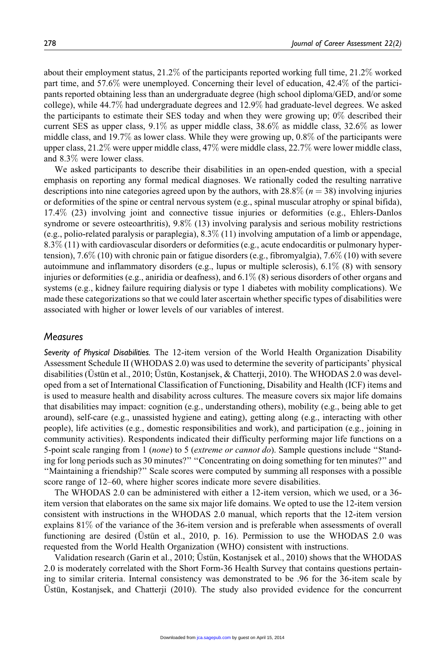about their employment status, 21.2% of the participants reported working full time, 21.2% worked part time, and 57.6% were unemployed. Concerning their level of education, 42.4% of the participants reported obtaining less than an undergraduate degree (high school diploma/GED, and/or some college), while 44.7% had undergraduate degrees and 12.9% had graduate-level degrees. We asked the participants to estimate their SES today and when they were growing up; 0% described their current SES as upper class, 9.1% as upper middle class, 38.6% as middle class, 32.6% as lower middle class, and 19.7% as lower class. While they were growing up, 0.8% of the participants were upper class, 21.2% were upper middle class, 47% were middle class, 22.7% were lower middle class, and 8.3% were lower class.

We asked participants to describe their disabilities in an open-ended question, with a special emphasis on reporting any formal medical diagnoses. We rationally coded the resulting narrative descriptions into nine categories agreed upon by the authors, with  $28.8\%$  ( $n = 38$ ) involving injuries or deformities of the spine or central nervous system (e.g., spinal muscular atrophy or spinal bifida), 17.4% (23) involving joint and connective tissue injuries or deformities (e.g., Ehlers-Danlos syndrome or severe osteoarthritis), 9.8% (13) involving paralysis and serious mobility restrictions (e.g., polio-related paralysis or paraplegia), 8.3% (11) involving amputation of a limb or appendage, 8.3% (11) with cardiovascular disorders or deformities (e.g., acute endocarditis or pulmonary hypertension), 7.6% (10) with chronic pain or fatigue disorders (e.g., fibromyalgia), 7.6% (10) with severe autoimmune and inflammatory disorders (e.g., lupus or multiple sclerosis),  $6.1\%$  (8) with sensory injuries or deformities (e.g., aniridia or deafness), and  $6.1\%$  (8) serious disorders of other organs and systems (e.g., kidney failure requiring dialysis or type 1 diabetes with mobility complications). We made these categorizations so that we could later ascertain whether specific types of disabilities were associated with higher or lower levels of our variables of interest.

#### **Measures**

Severity of Physical Disabilities. The 12-item version of the World Health Organization Disability Assessment Schedule II (WHODAS 2.0) was used to determine the severity of participants' physical disabilities (Üstün et al., 2010; Üstün, Kostanjsek, & Chatterji, 2010). The WHODAS 2.0 was developed from a set of International Classification of Functioning, Disability and Health (ICF) items and is used to measure health and disability across cultures. The measure covers six major life domains that disabilities may impact: cognition (e.g., understanding others), mobility (e.g., being able to get around), self-care (e.g., unassisted hygiene and eating), getting along (e.g., interacting with other people), life activities (e.g., domestic responsibilities and work), and participation (e.g., joining in community activities). Respondents indicated their difficulty performing major life functions on a 5-point scale ranging from 1 (none) to 5 (extreme or cannot do). Sample questions include "Standing for long periods such as 30 minutes?'' ''Concentrating on doing something for ten minutes?'' and ''Maintaining a friendship?'' Scale scores were computed by summing all responses with a possible score range of 12–60, where higher scores indicate more severe disabilities.

The WHODAS 2.0 can be administered with either a 12-item version, which we used, or a 36 item version that elaborates on the same six major life domains. We opted to use the 12-item version consistent with instructions in the WHODAS 2.0 manual, which reports that the 12-item version explains 81% of the variance of the 36-item version and is preferable when assessments of overall functioning are desired (Ustun et al., 2010, p. 16). Permission to use the WHODAS 2.0 was requested from the World Health Organization (WHO) consistent with instructions.

Validation research (Garin et al., 2010; Üstün, Kostanjsek et al., 2010) shows that the WHODAS 2.0 is moderately correlated with the Short Form-36 Health Survey that contains questions pertaining to similar criteria. Internal consistency was demonstrated to be .96 for the 36-item scale by Ustün, Kostanjsek, and Chatterji (2010). The study also provided evidence for the concurrent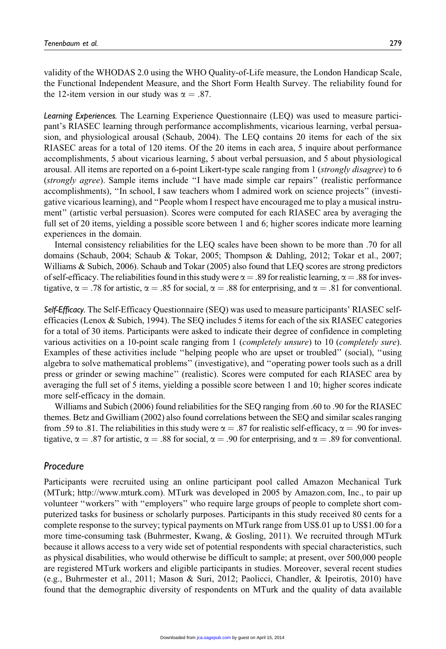validity of the WHODAS 2.0 using the WHO Quality-of-Life measure, the London Handicap Scale, the Functional Independent Measure, and the Short Form Health Survey. The reliability found for the 12-item version in our study was  $\alpha = .87$ .

Learning Experiences. The Learning Experience Questionnaire (LEQ) was used to measure participant's RIASEC learning through performance accomplishments, vicarious learning, verbal persuasion, and physiological arousal (Schaub, 2004). The LEQ contains 20 items for each of the six RIASEC areas for a total of 120 items. Of the 20 items in each area, 5 inquire about performance accomplishments, 5 about vicarious learning, 5 about verbal persuasion, and 5 about physiological arousal. All items are reported on a 6-point Likert-type scale ranging from 1 (strongly disagree) to 6 (strongly agree). Sample items include ''I have made simple car repairs'' (realistic performance accomplishments), ''In school, I saw teachers whom I admired work on science projects'' (investigative vicarious learning), and ''People whom I respect have encouraged me to play a musical instrument'' (artistic verbal persuasion). Scores were computed for each RIASEC area by averaging the full set of 20 items, yielding a possible score between 1 and 6; higher scores indicate more learning experiences in the domain.

Internal consistency reliabilities for the LEQ scales have been shown to be more than .70 for all domains (Schaub, 2004; Schaub & Tokar, 2005; Thompson & Dahling, 2012; Tokar et al., 2007; Williams & Subich, 2006). Schaub and Tokar (2005) also found that LEQ scores are strong predictors of self-efficacy. The reliabilities found in this study were  $\alpha = .89$  for realistic learning,  $\alpha = .88$  for investigative,  $\alpha = .78$  for artistic,  $\alpha = .85$  for social,  $\alpha = .88$  for enterprising, and  $\alpha = .81$  for conventional.

Self-Efficacy. The Self-Efficacy Questionnaire (SEQ) was used to measure participants' RIASEC selfefficacies (Lenox & Subich, 1994). The SEQ includes 5 items for each of the six RIASEC categories for a total of 30 items. Participants were asked to indicate their degree of confidence in completing various activities on a 10-point scale ranging from 1 (completely unsure) to 10 (completely sure). Examples of these activities include ''helping people who are upset or troubled'' (social), ''using algebra to solve mathematical problems'' (investigative), and ''operating power tools such as a drill press or grinder or sewing machine'' (realistic). Scores were computed for each RIASEC area by averaging the full set of 5 items, yielding a possible score between 1 and 10; higher scores indicate more self-efficacy in the domain.

Williams and Subich (2006) found reliabilities for the SEQ ranging from .60 to .90 for the RIASEC themes. Betz and Gwilliam (2002) also found correlations between the SEQ and similar scales ranging from .59 to .81. The reliabilities in this study were  $\alpha = .87$  for realistic self-efficacy,  $\alpha = .90$  for investigative,  $\alpha = .87$  for artistic,  $\alpha = .88$  for social,  $\alpha = .90$  for enterprising, and  $\alpha = .89$  for conventional.

#### Procedure

Participants were recruited using an online participant pool called Amazon Mechanical Turk (MTurk; http://www.mturk.com). MTurk was developed in 2005 by Amazon.com, Inc., to pair up volunteer ''workers'' with ''employers'' who require large groups of people to complete short computerized tasks for business or scholarly purposes. Participants in this study received 80 cents for a complete response to the survey; typical payments on MTurk range from US\$.01 up to US\$1.00 for a more time-consuming task (Buhrmester, Kwang, & Gosling, 2011). We recruited through MTurk because it allows access to a very wide set of potential respondents with special characteristics, such as physical disabilities, who would otherwise be difficult to sample; at present, over 500,000 people are registered MTurk workers and eligible participants in studies. Moreover, several recent studies (e.g., Buhrmester et al., 2011; Mason & Suri, 2012; Paolicci, Chandler, & Ipeirotis, 2010) have found that the demographic diversity of respondents on MTurk and the quality of data available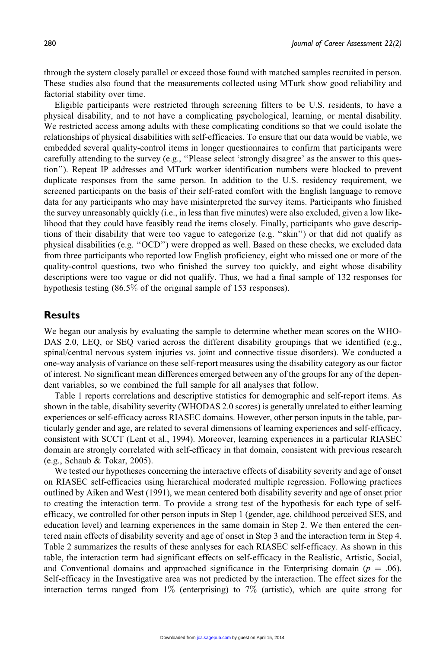through the system closely parallel or exceed those found with matched samples recruited in person. These studies also found that the measurements collected using MTurk show good reliability and factorial stability over time.

Eligible participants were restricted through screening filters to be U.S. residents, to have a physical disability, and to not have a complicating psychological, learning, or mental disability. We restricted access among adults with these complicating conditions so that we could isolate the relationships of physical disabilities with self-efficacies. To ensure that our data would be viable, we embedded several quality-control items in longer questionnaires to confirm that participants were carefully attending to the survey (e.g., ''Please select 'strongly disagree' as the answer to this question''). Repeat IP addresses and MTurk worker identification numbers were blocked to prevent duplicate responses from the same person. In addition to the U.S. residency requirement, we screened participants on the basis of their self-rated comfort with the English language to remove data for any participants who may have misinterpreted the survey items. Participants who finished the survey unreasonably quickly (i.e., in less than five minutes) were also excluded, given a low likelihood that they could have feasibly read the items closely. Finally, participants who gave descriptions of their disability that were too vague to categorize (e.g. ''skin'') or that did not qualify as physical disabilities (e.g. ''OCD'') were dropped as well. Based on these checks, we excluded data from three participants who reported low English proficiency, eight who missed one or more of the quality-control questions, two who finished the survey too quickly, and eight whose disability descriptions were too vague or did not qualify. Thus, we had a final sample of 132 responses for hypothesis testing (86.5% of the original sample of 153 responses).

## **Results**

We began our analysis by evaluating the sample to determine whether mean scores on the WHO-DAS 2.0, LEQ, or SEQ varied across the different disability groupings that we identified (e.g., spinal/central nervous system injuries vs. joint and connective tissue disorders). We conducted a one-way analysis of variance on these self-report measures using the disability category as our factor of interest. No significant mean differences emerged between any of the groups for any of the dependent variables, so we combined the full sample for all analyses that follow.

Table 1 reports correlations and descriptive statistics for demographic and self-report items. As shown in the table, disability severity (WHODAS 2.0 scores) is generally unrelated to either learning experiences or self-efficacy across RIASEC domains. However, other person inputs in the table, particularly gender and age, are related to several dimensions of learning experiences and self-efficacy, consistent with SCCT (Lent et al., 1994). Moreover, learning experiences in a particular RIASEC domain are strongly correlated with self-efficacy in that domain, consistent with previous research (e.g., Schaub & Tokar, 2005).

We tested our hypotheses concerning the interactive effects of disability severity and age of onset on RIASEC self-efficacies using hierarchical moderated multiple regression. Following practices outlined by Aiken and West (1991), we mean centered both disability severity and age of onset prior to creating the interaction term. To provide a strong test of the hypothesis for each type of selfefficacy, we controlled for other person inputs in Step 1 (gender, age, childhood perceived SES, and education level) and learning experiences in the same domain in Step 2. We then entered the centered main effects of disability severity and age of onset in Step 3 and the interaction term in Step 4. Table 2 summarizes the results of these analyses for each RIASEC self-efficacy. As shown in this table, the interaction term had significant effects on self-efficacy in the Realistic, Artistic, Social, and Conventional domains and approached significance in the Enterprising domain ( $p = .06$ ). Self-efficacy in the Investigative area was not predicted by the interaction. The effect sizes for the interaction terms ranged from 1% (enterprising) to 7% (artistic), which are quite strong for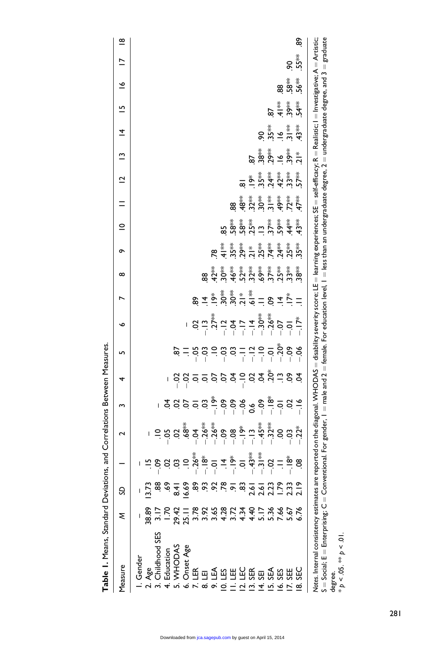| Measure                                                                                                                                                                                                                                                                                                                                                                                                                                                  | ξ | S                                                                                                                                                                                                             |                                                                                                                                                                                                                                                                                                             |                                                                                                                                                                                                                        | 4               | LO,                                                          | ۰o                                                                                                                                              |                                                                                                                                     | $\infty$ | ᡡ                                                                | $\overline{\mathsf{C}}$                              | $=$ | $\overline{a}$ | $\tilde{ }$                  | $\overline{4}$                                                                                                                                     | Ľ                                                                                                                                                                                                                                                                                                                   | $\tilde{ }$      | $\overline{\phantom{0}}$     | $\frac{\infty}{\infty}$ |
|----------------------------------------------------------------------------------------------------------------------------------------------------------------------------------------------------------------------------------------------------------------------------------------------------------------------------------------------------------------------------------------------------------------------------------------------------------|---|---------------------------------------------------------------------------------------------------------------------------------------------------------------------------------------------------------------|-------------------------------------------------------------------------------------------------------------------------------------------------------------------------------------------------------------------------------------------------------------------------------------------------------------|------------------------------------------------------------------------------------------------------------------------------------------------------------------------------------------------------------------------|-----------------|--------------------------------------------------------------|-------------------------------------------------------------------------------------------------------------------------------------------------|-------------------------------------------------------------------------------------------------------------------------------------|----------|------------------------------------------------------------------|------------------------------------------------------|-----|----------------|------------------------------|----------------------------------------------------------------------------------------------------------------------------------------------------|---------------------------------------------------------------------------------------------------------------------------------------------------------------------------------------------------------------------------------------------------------------------------------------------------------------------|------------------|------------------------------|-------------------------|
| S = Social; E = Enterprising; C = Conventional. For gender, I = male and 2 = female. For education level, I = less than an undergraduate degree, 2 = undergraduate degree, and 3 =<br>Notes. Internal consistency estimates are reported on<br>Childhood SES<br>5. WHODAS<br>Onset Age<br>Education<br>Gender<br>Age<br>7. LER<br>ក្នុងគ<br>3€<br><b>SER</b><br><b>SEA</b><br>ž<br>SEE<br>SES<br>ΞS<br><u>n</u><br>ف<br>$\overline{a}$<br>4:<br>$\infty$ |   | $\frac{1}{2}$ $\frac{1}{2}$ $\frac{1}{2}$ $\frac{1}{2}$ $\frac{1}{2}$ $\frac{1}{2}$ $\frac{1}{2}$ $\frac{1}{2}$ $\frac{1}{2}$ $\frac{1}{2}$<br>జ<br>83<br>ŝ<br>6.69<br>င္ပ<br>$\overline{0}$<br>$\frac{4}{8}$ | $\frac{15}{4}$ $\frac{15}{8}$ $\frac{15}{8}$ $\frac{15}{8}$ $\frac{15}{8}$ $\frac{15}{8}$ $\frac{15}{8}$ $\frac{15}{8}$ $\frac{15}{8}$ $\frac{15}{8}$ $\frac{15}{8}$ $\frac{15}{8}$ $\frac{15}{8}$ $\frac{15}{8}$ $\frac{15}{8}$ $\frac{15}{8}$ $\frac{15}{8}$ $\frac{15}{8}$ $\frac{15}{8}$ $\frac{15}{8}$ | ا عَزَّجَ وَ عَزَّمَ وَ عَقَّةٍ وَ عَزَمَ عَقَّةٍ الْمَرْكَبَةِ الْمَرْكَبَةِ الْمَرْكَبَةِ الْمَرْك<br>الْمَرْكَبَةِ وَ مَنْ عَزْمَةٍ وَ عَنْ الْمَرْكَبَةِ وَ عَنْ الْمَرْكَبَةِ الْمَرْكَبَةِ الْمَرْكَبَةِ الْمَرْ | - 8855685888588 | $\mathbf{B} = \mathbf{S} \mathbf{S} = \mathbf{S} \mathbf{S}$ | the diagonal WHODAS = disability severity score; LE = learning experiences; SE = self-efficacy; R = Realistic; I = lnvestigative; A = Artistic; | $85 \pm \frac{25}{10} \times \frac{25}{10} \times \frac{25}{10} \times \frac{25}{10} \times \frac{25}{10} = 85 \pm \frac{25}{10} =$ |          | <b>8 * * * * * * * * * *</b><br>R <del>+</del> ¤ & m m m x x x x | <b>* * * * * * * *</b><br>8 8 8 8 7 <u>– 6 8 4</u> 7 |     | $\overline{8}$ | ៵<br>៓៓៓៓៓៓៓៓៓៓៓៓ <i>៓</i> ៓ | $\overset{*}{\mathcal{S}}\overset{*}{\mathcal{S}}\overset{*}{\mathcal{S}}\overset{*}{\mathcal{S}}\overset{*}{\mathcal{S}}\overset{*}{\mathcal{S}}$ | $\frac{1}{2}$ $\frac{1}{2}$ $\frac{1}{2}$ $\frac{1}{2}$ $\frac{1}{2}$ $\frac{1}{2}$ $\frac{1}{2}$ $\frac{1}{2}$ $\frac{1}{2}$ $\frac{1}{2}$ $\frac{1}{2}$ $\frac{1}{2}$ $\frac{1}{2}$ $\frac{1}{2}$ $\frac{1}{2}$ $\frac{1}{2}$ $\frac{1}{2}$ $\frac{1}{2}$ $\frac{1}{2}$ $\frac{1}{2}$ $\frac{1}{2}$ $\frac{1}{2}$ | ្លុំ ន័<br>ខេត្ត | graduate<br>90<br>55*<br>90. | 89                      |
| degree.                                                                                                                                                                                                                                                                                                                                                                                                                                                  |   |                                                                                                                                                                                                               |                                                                                                                                                                                                                                                                                                             |                                                                                                                                                                                                                        |                 |                                                              |                                                                                                                                                 |                                                                                                                                     |          |                                                                  |                                                      |     |                |                              |                                                                                                                                                    |                                                                                                                                                                                                                                                                                                                     |                  |                              |                         |

Table 1. Means, Standard Deviations, and Correlations Between Measures. Table 1. Means, Standard Deviations, and Correlations Between Measures.

281

 $* p < 0.05.$  \*\*  $p < 0.1$ .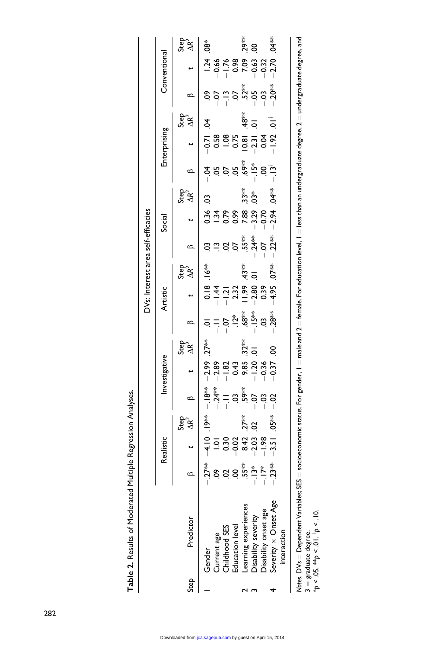| A nolus<br>Varraccion<br>$\frac{1}{2}$<br>٦<br>١ |
|--------------------------------------------------|
|                                                  |
|                                                  |
| )<br>}<br>}<br>V adamet:                         |
|                                                  |
|                                                  |
|                                                  |
|                                                  |

|      |                                                                                                                                                                                              |                  |                     |                      |                                                                   |                                                                                      |               |   |                                                                                     |                                | DVs: Interest area self-efficacies                                    |                                   |                            |   |                                                                                       |                                  |                                                       |                                |                                          |
|------|----------------------------------------------------------------------------------------------------------------------------------------------------------------------------------------------|------------------|---------------------|----------------------|-------------------------------------------------------------------|--------------------------------------------------------------------------------------|---------------|---|-------------------------------------------------------------------------------------|--------------------------------|-----------------------------------------------------------------------|-----------------------------------|----------------------------|---|---------------------------------------------------------------------------------------|----------------------------------|-------------------------------------------------------|--------------------------------|------------------------------------------|
|      |                                                                                                                                                                                              |                  | Realistic           |                      |                                                                   | Investigative                                                                        |               |   | Artistic                                                                            |                                |                                                                       | Social                            |                            |   | Enterprising                                                                          |                                  |                                                       | Conventional                   |                                          |
| Step | Predictor                                                                                                                                                                                    | $\circ$          |                     | Step<br>$\Delta R^2$ | ≏                                                                 |                                                                                      | $\frac{6}{4}$ | ≃ |                                                                                     | Sep2<br>∆K                     | ≏                                                                     |                                   | Sep<br>AR <sup>2</sup>     | ∞ |                                                                                       | $\frac{\text{Step}}{\Delta R^2}$ | ≃                                                     |                                | $\frac{\text{Spec}}{\Delta \mathcal{R}}$ |
|      | Gender                                                                                                                                                                                       |                  | $-27** -4.10$       | **<br>19*            |                                                                   |                                                                                      | $.27**$       |   |                                                                                     | *** 16                         | ິ                                                                     |                                   | ິວ                         |   |                                                                                       | इं                               |                                                       |                                | å                                        |
|      | Current age                                                                                                                                                                                  |                  | $\frac{0.50}{0.30}$ |                      | * * *<br><b>0: 4 = 0: 5 0: 0: 0:</b><br>      0: 5 0: 0: 0: 0<br> | $-2.89$<br>$-1.82$<br>$-1.83$<br>$-1.83$<br>$-1.83$<br>$-1.83$<br>$-1.83$<br>$-1.87$ |               |   | $0.14$<br>$-1.21$<br>$-1.32$<br>$-1.32$<br>$-1.35$<br>$-1.35$<br>$-1.35$<br>$-1.35$ |                                | $\begin{array}{c}\n 13 \\  -35 \\  -75 \\  -75 \\  -75\n \end{array}$ | 846888664<br>016688064<br>0160000 |                            |   | $-0.788$<br>$-0.58$<br>$-0.58$<br>$-0.58$<br>$-0.58$<br>$-0.58$<br>$-0.58$<br>$-0.52$ |                                  | **<br>2010 - 10 سمیة<br>10 سمیة مناسبة 2012 - 10 سمیة | 14<br>1462889312<br>-0-0-0-0-1 |                                          |
|      | Childhood SES                                                                                                                                                                                |                  |                     |                      |                                                                   |                                                                                      |               |   |                                                                                     |                                |                                                                       |                                   |                            |   |                                                                                       |                                  |                                                       |                                |                                          |
|      | Education level                                                                                                                                                                              |                  | $-0.02$             |                      |                                                                   |                                                                                      |               |   |                                                                                     |                                |                                                                       |                                   |                            |   |                                                                                       |                                  |                                                       |                                |                                          |
|      | earning experiences                                                                                                                                                                          | .55**            | $8.42$<br>-2.03     | $27**$               |                                                                   |                                                                                      |               |   |                                                                                     |                                |                                                                       |                                   |                            |   |                                                                                       |                                  |                                                       |                                |                                          |
|      | Disability severity                                                                                                                                                                          | $\sum_{i=1}^{n}$ |                     | $\Omega$             |                                                                   |                                                                                      | รั?<br>32≉    |   |                                                                                     | $\overset{*}{\mathfrak{P}}$ as |                                                                       |                                   | 33*<br>03*                 |   |                                                                                       |                                  |                                                       |                                | *<br>၃<br>၁<br>၁<br>၁                    |
|      | Disability onset age                                                                                                                                                                         | $\sum_{i=1}^{k}$ | $-1.98$             |                      |                                                                   |                                                                                      |               |   |                                                                                     |                                |                                                                       |                                   |                            |   |                                                                                       |                                  |                                                       |                                |                                          |
|      | Severity × Onset Age                                                                                                                                                                         | $23**$           | $-3.5$              | $.05**$              |                                                                   |                                                                                      | S             |   | -4.95                                                                               | $\sum_{i=1}^{n}$               |                                                                       |                                   | $\overset{*}{\mathcal{A}}$ |   |                                                                                       | ້ອ                               |                                                       |                                | $\overline{3}$                           |
|      | interaction                                                                                                                                                                                  |                  |                     |                      |                                                                   |                                                                                      |               |   |                                                                                     |                                |                                                                       |                                   |                            |   |                                                                                       |                                  |                                                       |                                |                                          |
|      | Notes. DVs = Dependent Variables; SES = socioeconomic status. For gender, 1 = male and 2 = female. For education level, 1 = less than an undergraduate degree, 2 = undergraduate degree, and |                  |                     |                      |                                                                   |                                                                                      |               |   |                                                                                     |                                |                                                                       |                                   |                            |   |                                                                                       |                                  |                                                       |                                |                                          |
|      | $3 =$ graduate degree.<br>*p < .05. **p < .01. $\dot{p}$ < .10.                                                                                                                              |                  |                     |                      |                                                                   |                                                                                      |               |   |                                                                                     |                                |                                                                       |                                   |                            |   |                                                                                       |                                  |                                                       |                                |                                          |

Downloaded from [jca.sagepub.com](http://jca.sagepub.com/) by guest on April 15, 2014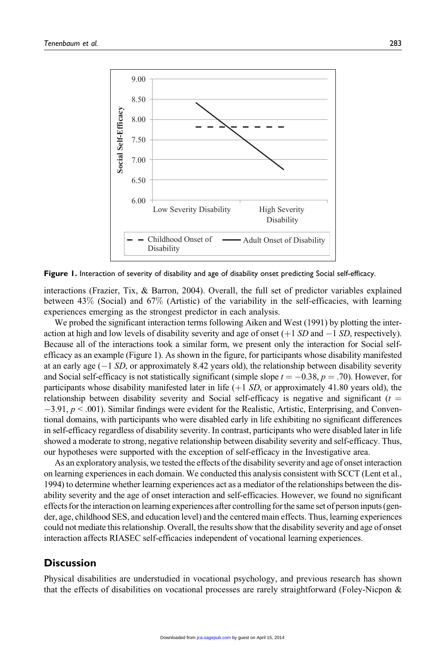

Figure 1. Interaction of severity of disability and age of disability onset predicting Social self-efficacy.

interactions (Frazier, Tix, & Barron, 2004). Overall, the full set of predictor variables explained between 43% (Social) and 67% (Artistic) of the variability in the self-efficacies, with learning experiences emerging as the strongest predictor in each analysis.

We probed the significant interaction terms following Aiken and West (1991) by plotting the interaction at high and low levels of disability severity and age of onset  $(+1 S D)$  and  $-1 S D$ , respectively). Because all of the interactions took a similar form, we present only the interaction for Social selfefficacy as an example (Figure 1). As shown in the figure, for participants whose disability manifested at an early age  $(-1 SD)$ , or approximately 8.42 years old), the relationship between disability severity and Social self-efficacy is not statistically significant (simple slope  $t = -0.38$ ,  $p = .70$ ). However, for participants whose disability manifested later in life  $(+1 S D)$ , or approximately 41.80 years old), the relationship between disability severity and Social self-efficacy is negative and significant ( $t =$  $-3.91, p < .001$ ). Similar findings were evident for the Realistic, Artistic, Enterprising, and Conventional domains, with participants who were disabled early in life exhibiting no significant differences in self-efficacy regardless of disability severity. In contrast, participants who were disabled later in life showed a moderate to strong, negative relationship between disability severity and self-efficacy. Thus, our hypotheses were supported with the exception of self-efficacy in the Investigative area.

As an exploratory analysis, we tested the effects of the disability severity and age of onset interaction on learning experiences in each domain. We conducted this analysis consistent with SCCT (Lent et al., 1994) to determine whether learning experiences act as a mediator of the relationships between the disability severity and the age of onset interaction and self-efficacies. However, we found no significant effects for the interaction onlearning experiences after controlling for the same set of personinputs (gender, age, childhood SES, and education level) and the centered main effects. Thus, learning experiences could not mediate this relationship. Overall, the results show that the disability severity and age of onset interaction affects RIASEC self-efficacies independent of vocational learning experiences.

#### **Discussion**

Physical disabilities are understudied in vocational psychology, and previous research has shown that the effects of disabilities on vocational processes are rarely straightforward (Foley-Nicpon &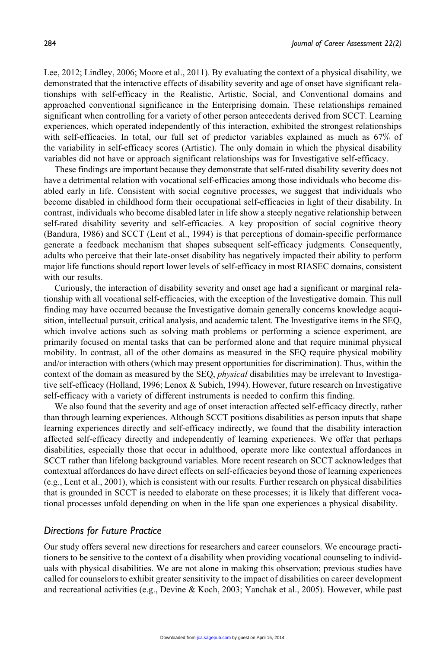Lee, 2012; Lindley, 2006; Moore et al., 2011). By evaluating the context of a physical disability, we demonstrated that the interactive effects of disability severity and age of onset have significant relationships with self-efficacy in the Realistic, Artistic, Social, and Conventional domains and approached conventional significance in the Enterprising domain. These relationships remained significant when controlling for a variety of other person antecedents derived from SCCT. Learning experiences, which operated independently of this interaction, exhibited the strongest relationships with self-efficacies. In total, our full set of predictor variables explained as much as 67% of the variability in self-efficacy scores (Artistic). The only domain in which the physical disability variables did not have or approach significant relationships was for Investigative self-efficacy.

These findings are important because they demonstrate that self-rated disability severity does not have a detrimental relation with vocational self-efficacies among those individuals who become disabled early in life. Consistent with social cognitive processes, we suggest that individuals who become disabled in childhood form their occupational self-efficacies in light of their disability. In contrast, individuals who become disabled later in life show a steeply negative relationship between self-rated disability severity and self-efficacies. A key proposition of social cognitive theory (Bandura, 1986) and SCCT (Lent et al., 1994) is that perceptions of domain-specific performance generate a feedback mechanism that shapes subsequent self-efficacy judgments. Consequently, adults who perceive that their late-onset disability has negatively impacted their ability to perform major life functions should report lower levels of self-efficacy in most RIASEC domains, consistent with our results.

Curiously, the interaction of disability severity and onset age had a significant or marginal relationship with all vocational self-efficacies, with the exception of the Investigative domain. This null finding may have occurred because the Investigative domain generally concerns knowledge acquisition, intellectual pursuit, critical analysis, and academic talent. The Investigative items in the SEQ, which involve actions such as solving math problems or performing a science experiment, are primarily focused on mental tasks that can be performed alone and that require minimal physical mobility. In contrast, all of the other domains as measured in the SEQ require physical mobility and/or interaction with others (which may present opportunities for discrimination). Thus, within the context of the domain as measured by the SEQ, *physical* disabilities may be irrelevant to Investigative self-efficacy (Holland, 1996; Lenox & Subich, 1994). However, future research on Investigative self-efficacy with a variety of different instruments is needed to confirm this finding.

We also found that the severity and age of onset interaction affected self-efficacy directly, rather than through learning experiences. Although SCCT positions disabilities as person inputs that shape learning experiences directly and self-efficacy indirectly, we found that the disability interaction affected self-efficacy directly and independently of learning experiences. We offer that perhaps disabilities, especially those that occur in adulthood, operate more like contextual affordances in SCCT rather than lifelong background variables. More recent research on SCCT acknowledges that contextual affordances do have direct effects on self-efficacies beyond those of learning experiences (e.g., Lent et al., 2001), which is consistent with our results. Further research on physical disabilities that is grounded in SCCT is needed to elaborate on these processes; it is likely that different vocational processes unfold depending on when in the life span one experiences a physical disability.

#### Directions for Future Practice

Our study offers several new directions for researchers and career counselors. We encourage practitioners to be sensitive to the context of a disability when providing vocational counseling to individuals with physical disabilities. We are not alone in making this observation; previous studies have called for counselors to exhibit greater sensitivity to the impact of disabilities on career development and recreational activities (e.g., Devine & Koch, 2003; Yanchak et al., 2005). However, while past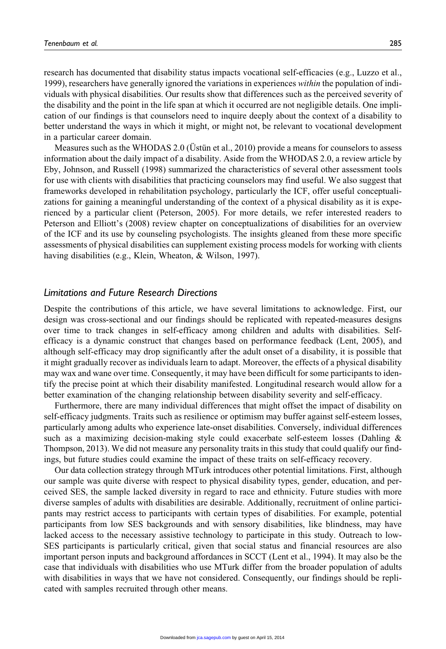research has documented that disability status impacts vocational self-efficacies (e.g., Luzzo et al., 1999), researchers have generally ignored the variations in experiences within the population of individuals with physical disabilities. Our results show that differences such as the perceived severity of the disability and the point in the life span at which it occurred are not negligible details. One implication of our findings is that counselors need to inquire deeply about the context of a disability to better understand the ways in which it might, or might not, be relevant to vocational development in a particular career domain.

Measures such as the WHODAS 2.0 (Ustun et al., 2010) provide a means for counselors to assess information about the daily impact of a disability. Aside from the WHODAS 2.0, a review article by Eby, Johnson, and Russell (1998) summarized the characteristics of several other assessment tools for use with clients with disabilities that practicing counselors may find useful. We also suggest that frameworks developed in rehabilitation psychology, particularly the ICF, offer useful conceptualizations for gaining a meaningful understanding of the context of a physical disability as it is experienced by a particular client (Peterson, 2005). For more details, we refer interested readers to Peterson and Elliott's (2008) review chapter on conceptualizations of disabilities for an overview of the ICF and its use by counseling psychologists. The insights gleaned from these more specific assessments of physical disabilities can supplement existing process models for working with clients having disabilities (e.g., Klein, Wheaton, & Wilson, 1997).

#### Limitations and Future Research Directions

Despite the contributions of this article, we have several limitations to acknowledge. First, our design was cross-sectional and our findings should be replicated with repeated-measures designs over time to track changes in self-efficacy among children and adults with disabilities. Selfefficacy is a dynamic construct that changes based on performance feedback (Lent, 2005), and although self-efficacy may drop significantly after the adult onset of a disability, it is possible that it might gradually recover as individuals learn to adapt. Moreover, the effects of a physical disability may wax and wane over time. Consequently, it may have been difficult for some participants to identify the precise point at which their disability manifested. Longitudinal research would allow for a better examination of the changing relationship between disability severity and self-efficacy.

Furthermore, there are many individual differences that might offset the impact of disability on self-efficacy judgments. Traits such as resilience or optimism may buffer against self-esteem losses, particularly among adults who experience late-onset disabilities. Conversely, individual differences such as a maximizing decision-making style could exacerbate self-esteem losses (Dahling & Thompson, 2013). We did not measure any personality traits in this study that could qualify our findings, but future studies could examine the impact of these traits on self-efficacy recovery.

Our data collection strategy through MTurk introduces other potential limitations. First, although our sample was quite diverse with respect to physical disability types, gender, education, and perceived SES, the sample lacked diversity in regard to race and ethnicity. Future studies with more diverse samples of adults with disabilities are desirable. Additionally, recruitment of online participants may restrict access to participants with certain types of disabilities. For example, potential participants from low SES backgrounds and with sensory disabilities, like blindness, may have lacked access to the necessary assistive technology to participate in this study. Outreach to low-SES participants is particularly critical, given that social status and financial resources are also important person inputs and background affordances in SCCT (Lent et al., 1994). It may also be the case that individuals with disabilities who use MTurk differ from the broader population of adults with disabilities in ways that we have not considered. Consequently, our findings should be replicated with samples recruited through other means.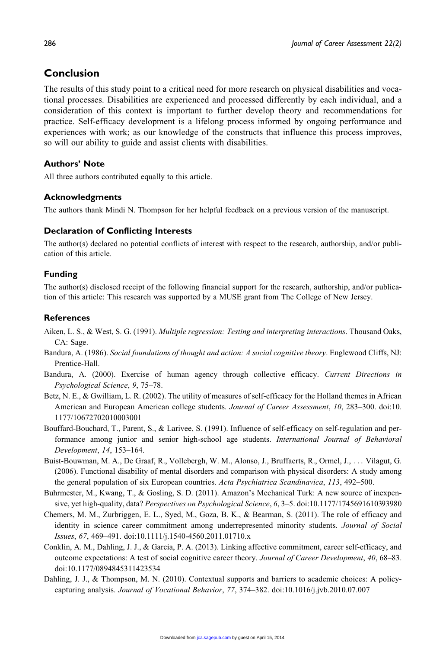# Conclusion

The results of this study point to a critical need for more research on physical disabilities and vocational processes. Disabilities are experienced and processed differently by each individual, and a consideration of this context is important to further develop theory and recommendations for practice. Self-efficacy development is a lifelong process informed by ongoing performance and experiences with work; as our knowledge of the constructs that influence this process improves, so will our ability to guide and assist clients with disabilities.

#### Authors' Note

All three authors contributed equally to this article.

#### Acknowledgments

The authors thank Mindi N. Thompson for her helpful feedback on a previous version of the manuscript.

#### Declaration of Conflicting Interests

The author(s) declared no potential conflicts of interest with respect to the research, authorship, and/or publication of this article.

#### Funding

The author(s) disclosed receipt of the following financial support for the research, authorship, and/or publication of this article: This research was supported by a MUSE grant from The College of New Jersey.

#### **References**

- Aiken, L. S., & West, S. G. (1991). Multiple regression: Testing and interpreting interactions. Thousand Oaks, CA: Sage.
- Bandura, A. (1986). Social foundations of thought and action: A social cognitive theory. Englewood Cliffs, NJ: Prentice-Hall.
- Bandura, A. (2000). Exercise of human agency through collective efficacy. Current Directions in Psychological Science, 9, 75–78.
- Betz, N. E., & Gwilliam, L. R. (2002). The utility of measures of self-efficacy for the Holland themes in African American and European American college students. Journal of Career Assessment, 10, 283-300. doi:10. 1177/10672702010003001
- Bouffard-Bouchard, T., Parent, S., & Larivee, S. (1991). Influence of self-efficacy on self-regulation and performance among junior and senior high-school age students. International Journal of Behavioral Development, 14, 153–164.
- Buist-Bouwman, M. A., De Graaf, R., Vollebergh, W. M., Alonso, J., Bruffaerts, R., Ormel, J., ... Vilagut, G. (2006). Functional disability of mental disorders and comparison with physical disorders: A study among the general population of six European countries. Acta Psychiatrica Scandinavica, 113, 492–500.
- Buhrmester, M., Kwang, T., & Gosling, S. D. (2011). Amazon's Mechanical Turk: A new source of inexpensive, yet high-quality, data? Perspectives on Psychological Science, 6, 3-5. doi:10.1177/1745691610393980
- Chemers, M. M., Zurbriggen, E. L., Syed, M., Goza, B. K., & Bearman, S. (2011). The role of efficacy and identity in science career commitment among underrepresented minority students. Journal of Social Issues, 67, 469–491. doi:10.1111/j.1540-4560.2011.01710.x
- Conklin, A. M., Dahling, J. J., & Garcia, P. A. (2013). Linking affective commitment, career self-efficacy, and outcome expectations: A test of social cognitive career theory. Journal of Career Development, 40, 68–83. doi:10.1177/0894845311423534
- Dahling, J. J., & Thompson, M. N. (2010). Contextual supports and barriers to academic choices: A policycapturing analysis. Journal of Vocational Behavior, 77, 374–382. doi:10.1016/j.jvb.2010.07.007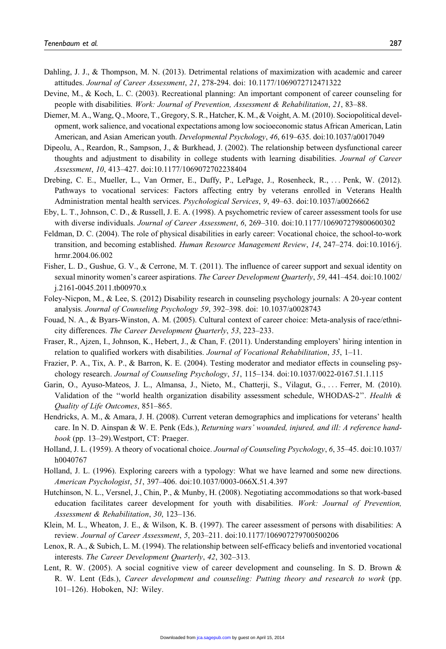- Dahling, J. J., & Thompson, M. N. (2013). Detrimental relations of maximization with academic and career attitudes. Journal of Career Assessment, 21, 278-294. doi: 10.1177/1069072712471322
- Devine, M., & Koch, L. C. (2003). Recreational planning: An important component of career counseling for people with disabilities. Work: Journal of Prevention, Assessment & Rehabilitation, 21, 83–88.
- Diemer, M. A., Wang, Q., Moore, T., Gregory, S. R., Hatcher, K. M., & Voight, A. M. (2010). Sociopolitical development, work salience, and vocational expectations among low socioeconomic status African American, Latin American, and Asian American youth. Developmental Psychology, 46, 619–635. doi:10.1037/a0017049
- Dipeolu, A., Reardon, R., Sampson, J., & Burkhead, J. (2002). The relationship between dysfunctional career thoughts and adjustment to disability in college students with learning disabilities. Journal of Career Assessment, 10, 413–427. doi:10.1177/1069072702238404
- Drebing, C. E., Mueller, L., Van Ormer, E., Duffy, P., LePage, J., Rosenheck, R., ... Penk, W. (2012). Pathways to vocational services: Factors affecting entry by veterans enrolled in Veterans Health Administration mental health services. Psychological Services, 9, 49–63. doi:10.1037/a0026662
- Eby, L. T., Johnson, C. D., & Russell, J. E. A. (1998). A psychometric review of career assessment tools for use with diverse individuals. Journal of Career Assessment, 6, 269-310. doi:10.1177/106907279800600302
- Feldman, D. C. (2004). The role of physical disabilities in early career: Vocational choice, the school-to-work transition, and becoming established. Human Resource Management Review, 14, 247–274. doi:10.1016/j. hrmr.2004.06.002
- Fisher, L. D., Gushue, G. V., & Cerrone, M. T. (2011). The influence of career support and sexual identity on sexual minority women's career aspirations. The Career Development Quarterly, 59, 441–454. doi:10.1002/ j.2161-0045.2011.tb00970.x
- Foley-Nicpon, M., & Lee, S. (2012) Disability research in counseling psychology journals: A 20-year content analysis. Journal of Counseling Psychology 59, 392–398. doi: 10.1037/a0028743
- Fouad, N. A., & Byars-Winston, A. M. (2005). Cultural context of career choice: Meta-analysis of race/ethnicity differences. The Career Development Quarterly, 53, 223–233.
- Fraser, R., Ajzen, I., Johnson, K., Hebert, J., & Chan, F. (2011). Understanding employers' hiring intention in relation to qualified workers with disabilities. Journal of Vocational Rehabilitation, 35, 1–11.
- Frazier, P. A., Tix, A. P., & Barron, K. E. (2004). Testing moderator and mediator effects in counseling psychology research. Journal of Counseling Psychology, 51, 115–134. doi:10.1037/0022-0167.51.1.115
- Garin, O., Ayuso-Mateos, J. L., Almansa, J., Nieto, M., Chatterji, S., Vilagut, G., ... Ferrer, M. (2010). Validation of the "world health organization disability assessment schedule, WHODAS-2". Health & Quality of Life Outcomes, 851–865.
- Hendricks, A. M., & Amara, J. H. (2008). Current veteran demographics and implications for veterans' health care. In N. D. Ainspan & W. E. Penk (Eds.), Returning wars' wounded, injured, and ill: A reference handbook (pp. 13–29).Westport, CT: Praeger.
- Holland, J. L. (1959). A theory of vocational choice. Journal of Counseling Psychology, 6, 35–45. doi:10.1037/ h0040767
- Holland, J. L. (1996). Exploring careers with a typology: What we have learned and some new directions. American Psychologist, 51, 397–406. doi:10.1037/0003-066X.51.4.397
- Hutchinson, N. L., Versnel, J., Chin, P., & Munby, H. (2008). Negotiating accommodations so that work-based education facilitates career development for youth with disabilities. Work: Journal of Prevention, Assessment & Rehabilitation, 30, 123–136.
- Klein, M. L., Wheaton, J. E., & Wilson, K. B. (1997). The career assessment of persons with disabilities: A review. Journal of Career Assessment, 5, 203–211. doi:10.1177/106907279700500206
- Lenox, R. A., & Subich, L. M. (1994). The relationship between self-efficacy beliefs and inventoried vocational interests. The Career Development Quarterly, 42, 302–313.
- Lent, R. W. (2005). A social cognitive view of career development and counseling. In S. D. Brown & R. W. Lent (Eds.), Career development and counseling: Putting theory and research to work (pp. 101–126). Hoboken, NJ: Wiley.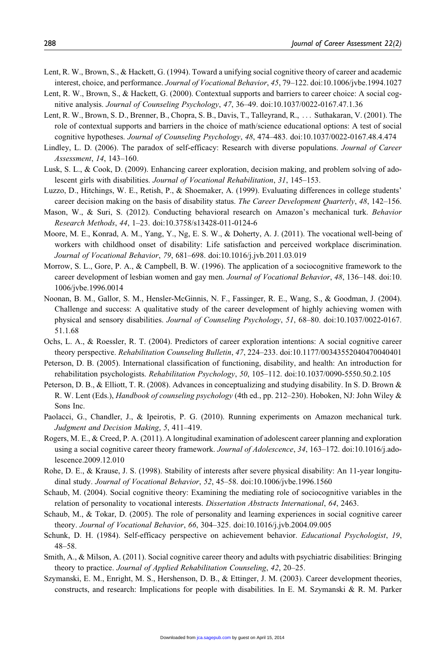- Lent, R. W., Brown, S., & Hackett, G. (1994). Toward a unifying social cognitive theory of career and academic interest, choice, and performance. Journal of Vocational Behavior, 45, 79–122. doi:10.1006/jvbe.1994.1027
- Lent, R. W., Brown, S., & Hackett, G. (2000). Contextual supports and barriers to career choice: A social cognitive analysis. Journal of Counseling Psychology, 47, 36–49. doi:10.1037/0022-0167.47.1.36
- Lent, R. W., Brown, S. D., Brenner, B., Chopra, S. B., Davis, T., Talleyrand, R., ... Suthakaran, V. (2001). The role of contextual supports and barriers in the choice of math/science educational options: A test of social cognitive hypotheses. Journal of Counseling Psychology, 48, 474–483. doi:10.1037/0022-0167.48.4.474
- Lindley, L. D. (2006). The paradox of self-efficacy: Research with diverse populations. *Journal of Career* Assessment, 14, 143–160.
- Lusk, S. L., & Cook, D. (2009). Enhancing career exploration, decision making, and problem solving of adolescent girls with disabilities. Journal of Vocational Rehabilitation, 31, 145–153.
- Luzzo, D., Hitchings, W. E., Retish, P., & Shoemaker, A. (1999). Evaluating differences in college students' career decision making on the basis of disability status. The Career Development Quarterly, 48, 142–156.
- Mason, W., & Suri, S. (2012). Conducting behavioral research on Amazon's mechanical turk. Behavior Research Methods, 44, 1–23. doi:10.3758/s13428-011-0124-6
- Moore, M. E., Konrad, A. M., Yang, Y., Ng, E. S. W., & Doherty, A. J. (2011). The vocational well-being of workers with childhood onset of disability: Life satisfaction and perceived workplace discrimination. Journal of Vocational Behavior, 79, 681–698. doi:10.1016/j.jvb.2011.03.019
- Morrow, S. L., Gore, P. A., & Campbell, B. W. (1996). The application of a sociocognitive framework to the career development of lesbian women and gay men. Journal of Vocational Behavior, 48, 136-148. doi:10. 1006/jvbe.1996.0014
- Noonan, B. M., Gallor, S. M., Hensler-McGinnis, N. F., Fassinger, R. E., Wang, S., & Goodman, J. (2004). Challenge and success: A qualitative study of the career development of highly achieving women with physical and sensory disabilities. Journal of Counseling Psychology, 51, 68–80. doi:10.1037/0022-0167. 51.1.68
- Ochs, L. A., & Roessler, R. T. (2004). Predictors of career exploration intentions: A social cognitive career theory perspective. Rehabilitation Counseling Bulletin, 47, 224–233. doi:10.1177/00343552040470040401
- Peterson, D. B. (2005). International classification of functioning, disability, and health: An introduction for rehabilitation psychologists. Rehabilitation Psychology, 50, 105–112. doi:10.1037/0090-5550.50.2.105
- Peterson, D. B., & Elliott, T. R. (2008). Advances in conceptualizing and studying disability. In S. D. Brown & R. W. Lent (Eds.), Handbook of counseling psychology (4th ed., pp. 212–230). Hoboken, NJ: John Wiley & Sons Inc.
- Paolacci, G., Chandler, J., & Ipeirotis, P. G. (2010). Running experiments on Amazon mechanical turk. Judgment and Decision Making, 5, 411–419.
- Rogers, M. E., & Creed, P. A. (2011). A longitudinal examination of adolescent career planning and exploration using a social cognitive career theory framework. Journal of Adolescence, 34, 163-172. doi:10.1016/j.adolescence.2009.12.010
- Rohe, D. E., & Krause, J. S. (1998). Stability of interests after severe physical disability: An 11-year longitudinal study. Journal of Vocational Behavior, 52, 45–58. doi:10.1006/jvbe.1996.1560
- Schaub, M. (2004). Social cognitive theory: Examining the mediating role of sociocognitive variables in the relation of personality to vocational interests. Dissertation Abstracts International, 64, 2463.
- Schaub, M., & Tokar, D. (2005). The role of personality and learning experiences in social cognitive career theory. Journal of Vocational Behavior, 66, 304–325. doi:10.1016/j.jvb.2004.09.005
- Schunk, D. H. (1984). Self-efficacy perspective on achievement behavior. Educational Psychologist, 19, 48–58.
- Smith, A., & Milson, A. (2011). Social cognitive career theory and adults with psychiatric disabilities: Bringing theory to practice. Journal of Applied Rehabilitation Counseling, 42, 20–25.
- Szymanski, E. M., Enright, M. S., Hershenson, D. B., & Ettinger, J. M. (2003). Career development theories, constructs, and research: Implications for people with disabilities. In E. M. Szymanski & R. M. Parker